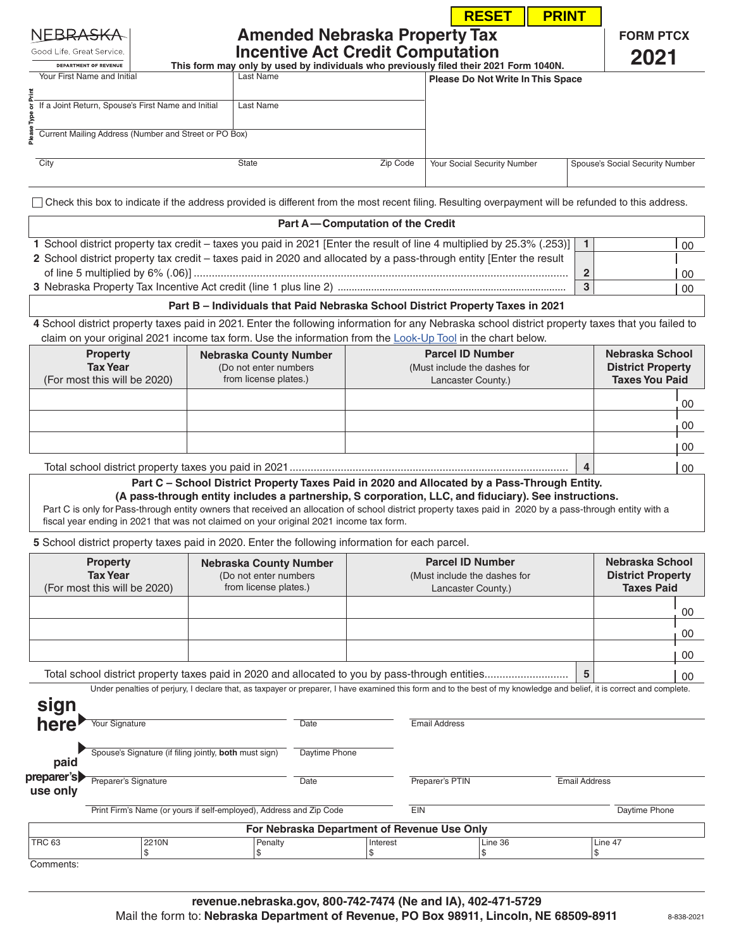|                                                                                                                                                                                                                                                                                                                                                                                                                                                  |                                                        |                                                        |                                                                                                                                                                          |                                                                                                                                                                                                      |                                                                               | <b>RESET</b> | <b>PRINT</b> |                                                                      |                                                                                                                                                                              |  |
|--------------------------------------------------------------------------------------------------------------------------------------------------------------------------------------------------------------------------------------------------------------------------------------------------------------------------------------------------------------------------------------------------------------------------------------------------|--------------------------------------------------------|--------------------------------------------------------|--------------------------------------------------------------------------------------------------------------------------------------------------------------------------|------------------------------------------------------------------------------------------------------------------------------------------------------------------------------------------------------|-------------------------------------------------------------------------------|--------------|--------------|----------------------------------------------------------------------|------------------------------------------------------------------------------------------------------------------------------------------------------------------------------|--|
| NEBRA <del>SK</del> A<br>Good Life. Great Service.<br><b>DEPARTMENT OF REVENUE</b>                                                                                                                                                                                                                                                                                                                                                               |                                                        |                                                        | <b>Amended Nebraska Property Tax</b><br><b>Incentive Act Credit Computation</b><br>This form may only by used by individuals who previously filed their 2021 Form 1040N. |                                                                                                                                                                                                      |                                                                               |              |              |                                                                      | <b>FORM PTCX</b><br>2021                                                                                                                                                     |  |
| Your First Name and Initial                                                                                                                                                                                                                                                                                                                                                                                                                      |                                                        | Last Name                                              |                                                                                                                                                                          |                                                                                                                                                                                                      | Please Do Not Write In This Space                                             |              |              |                                                                      |                                                                                                                                                                              |  |
| If a Joint Return, Spouse's First Name and Initial                                                                                                                                                                                                                                                                                                                                                                                               |                                                        | Last Name                                              |                                                                                                                                                                          |                                                                                                                                                                                                      |                                                                               |              |              |                                                                      |                                                                                                                                                                              |  |
| Current Mailing Address (Number and Street or PO Box)                                                                                                                                                                                                                                                                                                                                                                                            |                                                        |                                                        |                                                                                                                                                                          |                                                                                                                                                                                                      |                                                                               |              |              |                                                                      |                                                                                                                                                                              |  |
| City                                                                                                                                                                                                                                                                                                                                                                                                                                             |                                                        | State                                                  |                                                                                                                                                                          | Zip Code                                                                                                                                                                                             | Your Social Security Number                                                   |              |              |                                                                      | Spouse's Social Security Number                                                                                                                                              |  |
|                                                                                                                                                                                                                                                                                                                                                                                                                                                  |                                                        |                                                        |                                                                                                                                                                          |                                                                                                                                                                                                      |                                                                               |              |              |                                                                      |                                                                                                                                                                              |  |
| Check this box to indicate if the address provided is different from the most recent filing. Resulting overpayment will be refunded to this address.                                                                                                                                                                                                                                                                                             |                                                        |                                                        |                                                                                                                                                                          |                                                                                                                                                                                                      |                                                                               |              |              |                                                                      |                                                                                                                                                                              |  |
|                                                                                                                                                                                                                                                                                                                                                                                                                                                  |                                                        |                                                        |                                                                                                                                                                          | Part A-Computation of the Credit                                                                                                                                                                     |                                                                               |              |              |                                                                      |                                                                                                                                                                              |  |
| 1 School district property tax credit - taxes you paid in 2021 [Enter the result of line 4 multiplied by 25.3% (.253)]                                                                                                                                                                                                                                                                                                                           |                                                        |                                                        |                                                                                                                                                                          |                                                                                                                                                                                                      |                                                                               |              |              | $\overline{1}$                                                       | 00                                                                                                                                                                           |  |
| 2 School district property tax credit – taxes paid in 2020 and allocated by a pass-through entity [Enter the result                                                                                                                                                                                                                                                                                                                              |                                                        |                                                        |                                                                                                                                                                          |                                                                                                                                                                                                      |                                                                               |              |              | $\overline{2}$                                                       |                                                                                                                                                                              |  |
|                                                                                                                                                                                                                                                                                                                                                                                                                                                  |                                                        |                                                        |                                                                                                                                                                          |                                                                                                                                                                                                      |                                                                               |              |              | 3                                                                    | 00<br>00                                                                                                                                                                     |  |
|                                                                                                                                                                                                                                                                                                                                                                                                                                                  |                                                        |                                                        |                                                                                                                                                                          | Part B - Individuals that Paid Nebraska School District Property Taxes in 2021                                                                                                                       |                                                                               |              |              |                                                                      |                                                                                                                                                                              |  |
| 4 School district property taxes paid in 2021. Enter the following information for any Nebraska school district property taxes that you failed to<br>claim on your original 2021 income tax form. Use the information from the Look-Up Tool in the chart below.                                                                                                                                                                                  |                                                        |                                                        |                                                                                                                                                                          |                                                                                                                                                                                                      |                                                                               |              |              |                                                                      |                                                                                                                                                                              |  |
| <b>Property</b><br><b>Tax Year</b><br>(For most this will be 2020)                                                                                                                                                                                                                                                                                                                                                                               | from license plates.)                                  | <b>Nebraska County Number</b><br>(Do not enter numbers |                                                                                                                                                                          | <b>Parcel ID Number</b><br>(Must include the dashes for<br>Lancaster County.)                                                                                                                        |                                                                               |              |              | Nebraska School<br><b>District Property</b><br><b>Taxes You Paid</b> |                                                                                                                                                                              |  |
|                                                                                                                                                                                                                                                                                                                                                                                                                                                  |                                                        |                                                        |                                                                                                                                                                          |                                                                                                                                                                                                      |                                                                               |              |              |                                                                      | 00                                                                                                                                                                           |  |
|                                                                                                                                                                                                                                                                                                                                                                                                                                                  |                                                        |                                                        |                                                                                                                                                                          |                                                                                                                                                                                                      |                                                                               |              |              |                                                                      |                                                                                                                                                                              |  |
|                                                                                                                                                                                                                                                                                                                                                                                                                                                  |                                                        |                                                        |                                                                                                                                                                          |                                                                                                                                                                                                      |                                                                               |              |              |                                                                      |                                                                                                                                                                              |  |
|                                                                                                                                                                                                                                                                                                                                                                                                                                                  |                                                        |                                                        |                                                                                                                                                                          |                                                                                                                                                                                                      |                                                                               |              |              |                                                                      | 00                                                                                                                                                                           |  |
|                                                                                                                                                                                                                                                                                                                                                                                                                                                  |                                                        |                                                        |                                                                                                                                                                          |                                                                                                                                                                                                      |                                                                               |              |              | 4                                                                    | 00<br>00                                                                                                                                                                     |  |
|                                                                                                                                                                                                                                                                                                                                                                                                                                                  |                                                        |                                                        |                                                                                                                                                                          | Part C - School District Property Taxes Paid in 2020 and Allocated by a Pass-Through Entity.<br>(A pass-through entity includes a partnership, S corporation, LLC, and fiduciary). See instructions. |                                                                               |              |              |                                                                      |                                                                                                                                                                              |  |
|                                                                                                                                                                                                                                                                                                                                                                                                                                                  |                                                        |                                                        |                                                                                                                                                                          |                                                                                                                                                                                                      |                                                                               |              |              |                                                                      |                                                                                                                                                                              |  |
| <b>Property</b><br><b>Tax Year</b>                                                                                                                                                                                                                                                                                                                                                                                                               |                                                        |                                                        | <b>Nebraska County Number</b><br>(Do not enter numbers<br>from license plates.)                                                                                          |                                                                                                                                                                                                      | <b>Parcel ID Number</b><br>(Must include the dashes for<br>Lancaster County.) |              |              |                                                                      | Nebraska School<br><b>District Property</b><br><b>Taxes Paid</b>                                                                                                             |  |
|                                                                                                                                                                                                                                                                                                                                                                                                                                                  |                                                        |                                                        |                                                                                                                                                                          |                                                                                                                                                                                                      |                                                                               |              |              |                                                                      | 00                                                                                                                                                                           |  |
|                                                                                                                                                                                                                                                                                                                                                                                                                                                  |                                                        |                                                        |                                                                                                                                                                          |                                                                                                                                                                                                      |                                                                               |              |              |                                                                      |                                                                                                                                                                              |  |
|                                                                                                                                                                                                                                                                                                                                                                                                                                                  |                                                        |                                                        |                                                                                                                                                                          |                                                                                                                                                                                                      |                                                                               |              |              |                                                                      | 00                                                                                                                                                                           |  |
|                                                                                                                                                                                                                                                                                                                                                                                                                                                  |                                                        |                                                        |                                                                                                                                                                          |                                                                                                                                                                                                      |                                                                               |              |              |                                                                      | 00                                                                                                                                                                           |  |
|                                                                                                                                                                                                                                                                                                                                                                                                                                                  |                                                        |                                                        |                                                                                                                                                                          |                                                                                                                                                                                                      |                                                                               |              |              | 5                                                                    | 00<br>Under penalties of perjury, I declare that, as taxpayer or preparer, I have examined this form and to the best of my knowledge and belief, it is correct and complete. |  |
|                                                                                                                                                                                                                                                                                                                                                                                                                                                  |                                                        |                                                        |                                                                                                                                                                          |                                                                                                                                                                                                      |                                                                               |              |              |                                                                      |                                                                                                                                                                              |  |
| <b>Your Signature</b>                                                                                                                                                                                                                                                                                                                                                                                                                            |                                                        |                                                        | Date                                                                                                                                                                     |                                                                                                                                                                                                      | <b>Email Address</b>                                                          |              |              |                                                                      |                                                                                                                                                                              |  |
| paid                                                                                                                                                                                                                                                                                                                                                                                                                                             | Spouse's Signature (if filing jointly, both must sign) |                                                        | Daytime Phone                                                                                                                                                            |                                                                                                                                                                                                      |                                                                               |              |              |                                                                      |                                                                                                                                                                              |  |
| Preparer's Signature                                                                                                                                                                                                                                                                                                                                                                                                                             |                                                        |                                                        | Date                                                                                                                                                                     |                                                                                                                                                                                                      | Preparer's PTIN                                                               |              |              | <b>Email Address</b>                                                 |                                                                                                                                                                              |  |
|                                                                                                                                                                                                                                                                                                                                                                                                                                                  |                                                        |                                                        | Print Firm's Name (or yours if self-employed), Address and Zip Code                                                                                                      | EIN                                                                                                                                                                                                  |                                                                               |              |              |                                                                      | Daytime Phone                                                                                                                                                                |  |
| Part C is only for Pass-through entity owners that received an allocation of school district property taxes paid in 2020 by a pass-through entity with a<br>fiscal year ending in 2021 that was not claimed on your original 2021 income tax form.<br>5 School district property taxes paid in 2020. Enter the following information for each parcel.<br>(For most this will be 2020)<br>sign<br>here<br>preparer's<br>use only<br><b>TRC 63</b> | 2210N                                                  |                                                        |                                                                                                                                                                          | For Nebraska Department of Revenue Use Only                                                                                                                                                          |                                                                               | Line 36      |              |                                                                      | Line 47                                                                                                                                                                      |  |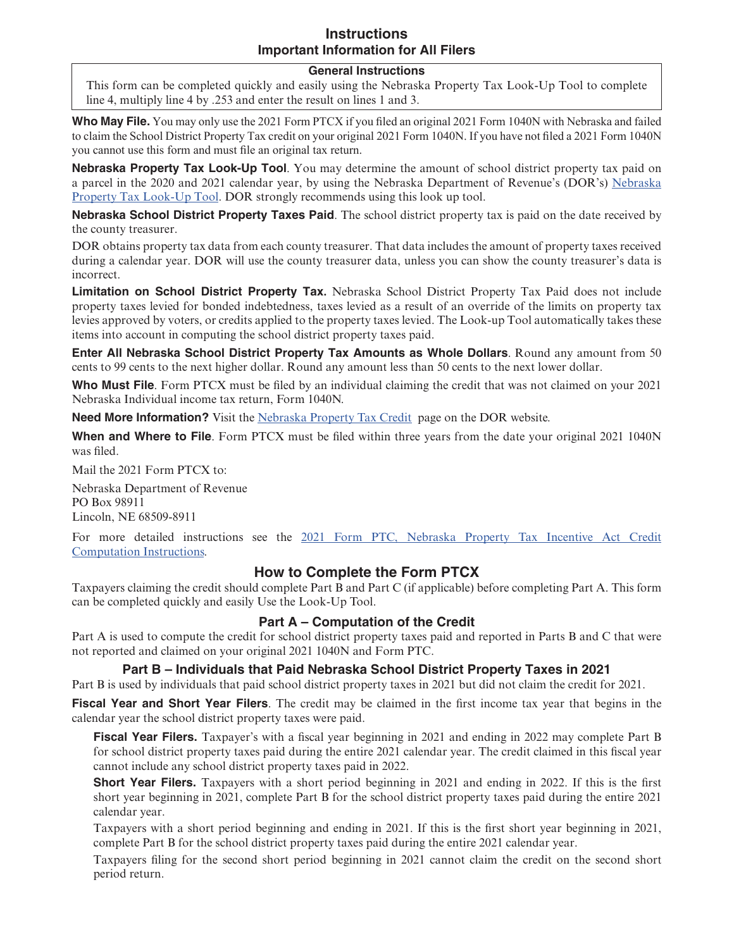# **Instructions Important Information for All Filers**

#### **General Instructions**

This form can be completed quickly and easily using the Nebraska Property Tax Look-Up Tool to complete line 4, multiply line 4 by .253 and enter the result on lines 1 and 3.

**Who May File.** You may only use the 2021 Form PTCX if you filed an original 2021 Form 1040N with Nebraska and failed to claim the School District Property Tax credit on your original 2021 Form 1040N. If you have not filed a 2021 Form 1040N you cannot use this form and must file an original tax return.

**Nebraska Property Tax Look-Up Tool**. You may determine the amount of school district property tax paid on a parcel in the 2020 and 2021 calendar year, by using the Nebraska Department of Revenue's (DOR's) [Nebraska](https://ndr-1107parcel.ne.gov/parcellookup/faces/search.xhtml)  [Property Tax Look-Up Tool](https://ndr-1107parcel.ne.gov/parcellookup/faces/search.xhtml). DOR strongly recommends using this look up tool.

**Nebraska School District Property Taxes Paid**. The school district property tax is paid on the date received by the county treasurer.

DOR obtains property tax data from each county treasurer. That data includes the amount of property taxes received during a calendar year. DOR will use the county treasurer data, unless you can show the county treasurer's data is incorrect.

**Limitation on School District Property Tax.** Nebraska School District Property Tax Paid does not include property taxes levied for bonded indebtedness, taxes levied as a result of an override of the limits on property tax levies approved by voters, or credits applied to the property taxes levied. The Look-up Tool automatically takes these items into account in computing the school district property taxes paid.

**Enter All Nebraska School District Property Tax Amounts as Whole Dollars**. Round any amount from 50 cents to 99 cents to the next higher dollar. Round any amount less than 50 cents to the next lower dollar.

**Who Must File**. Form PTCX must be filed by an individual claiming the credit that was not claimed on your 2021 Nebraska Individual income tax return, Form 1040N.

**Need More Information?** Visit the [Nebraska Property Tax Credit](https://revenue.nebraska.gov/about/nebraska-income-tax-credit-school-district-taxes-paid-nebraska-property-tax-incentive-act) page on the DOR website.

**When and Where to File**. Form PTCX must be filed within three years from the date your original 2021 1040N was filed.

Mail the 2021 Form PTCX to:

Nebraska Department of Revenue PO Box 98911 Lincoln, NE 68509-8911

For more detailed instructions see the [2021 Form PTC, Nebraska Property Tax Incentive Act Credit](https://revenue.nebraska.gov/sites/revenue.nebraska.gov/files/doc/tax-forms/2021/f_ptc.pdf) [Computation Instructions](https://revenue.nebraska.gov/sites/revenue.nebraska.gov/files/doc/tax-forms/2021/f_ptc.pdf).

# **How to Complete the Form PTCX**

Taxpayers claiming the credit should complete Part B and Part C (if applicable) before completing Part A. This form can be completed quickly and easily Use the Look-Up Tool.

## **Part A – Computation of the Credit**

Part A is used to compute the credit for school district property taxes paid and reported in Parts B and C that were not reported and claimed on your original 2021 1040N and Form PTC.

## **Part B – Individuals that Paid Nebraska School District Property Taxes in 2021**

Part B is used by individuals that paid school district property taxes in 2021 but did not claim the credit for 2021.

**Fiscal Year and Short Year Filers**. The credit may be claimed in the first income tax year that begins in the calendar year the school district property taxes were paid.

**Fiscal Year Filers.** Taxpayer's with a fiscal year beginning in 2021 and ending in 2022 may complete Part B for school district property taxes paid during the entire 2021 calendar year. The credit claimed in this fiscal year cannot include any school district property taxes paid in 2022.

**Short Year Filers.** Taxpayers with a short period beginning in 2021 and ending in 2022. If this is the first short year beginning in 2021, complete Part B for the school district property taxes paid during the entire 2021 calendar year.

Taxpayers with a short period beginning and ending in 2021. If this is the first short year beginning in 2021, complete Part B for the school district property taxes paid during the entire 2021 calendar year.

Taxpayers filing for the second short period beginning in 2021 cannot claim the credit on the second short period return.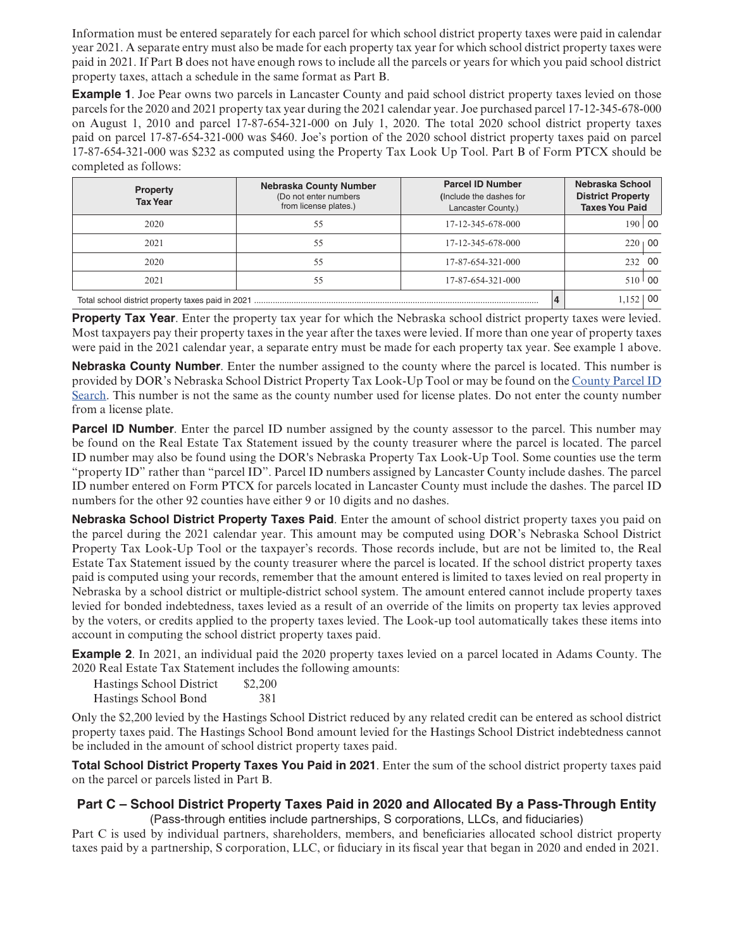Information must be entered separately for each parcel for which school district property taxes were paid in calendar year 2021. A separate entry must also be made for each property tax year for which school district property taxes were paid in 2021. If Part B does not have enough rows to include all the parcels or years for which you paid school district property taxes, attach a schedule in the same format as Part B.

**Example 1**. Joe Pear owns two parcels in Lancaster County and paid school district property taxes levied on those parcels for the 2020 and 2021 property tax year during the 2021 calendar year. Joe purchased parcel 17-12-345-678-000 on August 1, 2010 and parcel 17-87-654-321-000 on July 1, 2020. The total 2020 school district property taxes paid on parcel 17-87-654-321-000 was \$460. Joe's portion of the 2020 school district property taxes paid on parcel 17-87-654-321-000 was \$232 as computed using the Property Tax Look Up Tool. Part B of Form PTCX should be completed as follows:

| <b>Property</b><br><b>Tax Year</b> | <b>Nebraska County Number</b><br>(Do not enter numbers<br>from license plates.) | <b>Parcel ID Number</b><br>(Include the dashes for<br>Lancaster County.) | Nebraska School<br><b>District Property</b><br><b>Taxes You Paid</b> |              |
|------------------------------------|---------------------------------------------------------------------------------|--------------------------------------------------------------------------|----------------------------------------------------------------------|--------------|
| 2020                               | 55                                                                              | 17-12-345-678-000                                                        |                                                                      | 190 00       |
| 2021                               | 55                                                                              | 17-12-345-678-000                                                        |                                                                      | $220 + 00$   |
| 2020                               | 55                                                                              | 17-87-654-321-000                                                        |                                                                      | 232 00       |
| 2021                               | 55                                                                              | 17-87-654-321-000                                                        |                                                                      | $510^{+}$ 00 |
|                                    | 1.152   00                                                                      |                                                                          |                                                                      |              |

**Property Tax Year**. Enter the property tax year for which the Nebraska school district property taxes were levied. Most taxpayers pay their property taxes in the year after the taxes were levied. If more than one year of property taxes were paid in the 2021 calendar year, a separate entry must be made for each property tax year. See example 1 above.

**Nebraska County Number**. Enter the number assigned to the county where the parcel is located. This number is provided by DOR's Nebraska School District Property Tax Look-Up Tool or may be found on the [County Parcel ID](https://revenue.nebraska.gov/about/county-parcel-id-search) [Search.](https://revenue.nebraska.gov/about/county-parcel-id-search) This number is not the same as the county number used for license plates. Do not enter the county number from a license plate.

**Parcel ID Number**. Enter the parcel ID number assigned by the county assessor to the parcel. This number may be found on the Real Estate Tax Statement issued by the county treasurer where the parcel is located. The parcel ID number may also be found using the DOR's Nebraska Property Tax Look-Up Tool. Some counties use the term "property ID" rather than "parcel ID". Parcel ID numbers assigned by Lancaster County include dashes. The parcel ID number entered on Form PTCX for parcels located in Lancaster County must include the dashes. The parcel ID numbers for the other 92 counties have either 9 or 10 digits and no dashes.

**Nebraska School District Property Taxes Paid**. Enter the amount of school district property taxes you paid on the parcel during the 2021 calendar year. This amount may be computed using DOR's Nebraska School District Property Tax Look-Up Tool or the taxpayer's records. Those records include, but are not be limited to, the Real Estate Tax Statement issued by the county treasurer where the parcel is located. If the school district property taxes paid is computed using your records, remember that the amount entered is limited to taxes levied on real property in Nebraska by a school district or multiple-district school system. The amount entered cannot include property taxes levied for bonded indebtedness, taxes levied as a result of an override of the limits on property tax levies approved by the voters, or credits applied to the property taxes levied. The Look-up tool automatically takes these items into account in computing the school district property taxes paid.

**Example 2.** In 2021, an individual paid the 2020 property taxes levied on a parcel located in Adams County. The 2020 Real Estate Tax Statement includes the following amounts:

Hastings School District \$2,200 Hastings School Bond 381

Only the \$2,200 levied by the Hastings School District reduced by any related credit can be entered as school district property taxes paid. The Hastings School Bond amount levied for the Hastings School District indebtedness cannot be included in the amount of school district property taxes paid.

**Total School District Property Taxes You Paid in 2021**. Enter the sum of the school district property taxes paid on the parcel or parcels listed in Part B.

### **Part C – School District Property Taxes Paid in 2020 and Allocated By a Pass-Through Entity** (Pass-through entities include partnerships, S corporations, LLCs, and fiduciaries)

Part C is used by individual partners, shareholders, members, and beneficiaries allocated school district property taxes paid by a partnership, S corporation, LLC, or fiduciary in its fiscal year that began in 2020 and ended in 2021.